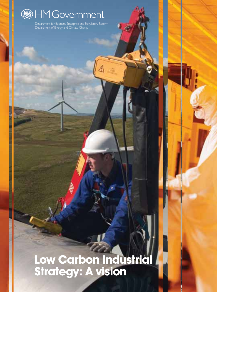

Department for Business, Enterprise and Regulatory Reform Department of Energy and Climate Change

## **Low Carbon Industrial Strategy: A vision**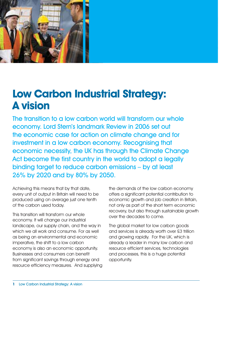

## **Low Carbon Industrial Strategy: A vision**

The transition to a low carbon world will transform our whole economy. Lord Stern's landmark Review in 2006 set out the economic case for action on climate change and for investment in a low carbon economy. Recognising that economic necessity, the UK has through the Climate Change Act become the first country in the world to adopt a legally binding target to reduce carbon emissions – by at least 26% by 2020 and by 80% by 2050.

Achieving this means that by that date, every unit of output in Britain will need to be produced using on average just one tenth of the carbon used today.

This transition will transform our whole economy. It will change our industrial landscape, our supply chain, and the way in which we all work and consume. For as well as being an environmental and economic imperative, the shift to a low carbon economy is also an economic opportunity. Businesses and consumers can benefit from significant savings through energy and resource efficiency measures. And supplying the demands of the low carbon economy offers a significant potential contribution to economic growth and job creation in Britain, not only as part of the short term economic recovery, but also through sustainable growth over the decades to come.

The global market for low carbon goods and services is already worth over £3 trillion and growing rapidly. For the UK, which is already a leader in many low carbon and resource efficient services, technologies and processes, this is a huge potential opportunity.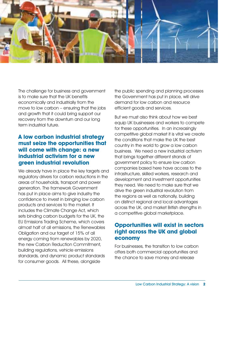

The challenge for business and government is to make sure that the UK benefits economically and industrially from the move to low carbon – ensuring that the jobs and growth that it could bring support our recovery from the downturn and our long term industrial future.

#### **A low carbon industrial strategy must seize the opportunities that will come with change: a new industrial activism for a new green industrial revolution**

We already have in place the key targets and regulatory drivers for carbon reductions in the areas of households, transport and power generation. The framework Government has put in place aims to give industry the confidence to invest in bringing low carbon products and services to the market. It includes the Climate Change Act, which sets binding carbon budgets for the UK, the EU Emissions Trading Scheme, which covers almost half of all emissions, the Renewables Obligation and our target of 15% of all energy coming from renewables by 2020, the new Carbon Reduction Commitment, building regulations, vehicle emissions standards, and dynamic product standards for consumer goods. All these, alongside

the public spending and planning processes the Government has put in place, will drive demand for low carbon and resource efficient goods and services.

But we must also think about how we best equip UK businesses and workers to compete for these opportunities. In an increasingly competitive global market it is vital we create the conditions that make the UK the best country in the world to grow a low carbon business. We need a new industrial activism that brings together different strands of government policy to ensure low carbon companies based here have access to the infrastructure, skilled workers, research and development and investment opportunities they need. We need to make sure that we drive the green industrial revolution from the regions as well as nationally, building on distinct regional and local advantages across the UK, and market British strengths in a competitive global marketplace.

#### **Opportunities will exist in sectors right across the UK and global economy**

For businesses, the transition to low carbon offers both commercial opportunities and the chance to save money and release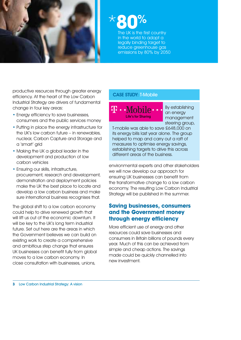

\***80**%

The UK is the first country in the world to adopt a legally binding target to reduce greenhouse gas emissions by 80% by 2050

productive resources through greater energy efficiency. At the heart of the Low Carbon Industrial Strategy are drivers of fundamental change in four key areas:

- Energy efficiency to save businesses, consumers and the public services money
- Putting in place the energy infrastructure for the UK's low carbon future – in renewables, nuclear, Carbon Capture and Storage and a 'smart' grid
- Making the UK a global leader in the development and production of low carbon vehicles
- Ensuring our skills, infrastructure, procurement, research and development, demonstration and deployment policies make the UK the best place to locate and develop a low carbon business and make sure international business recognises that.

The global shift to a low carbon economy could help to drive renewed growth that will lift us out of the economic downturn. It will be key to the UK's long term industrial future. Set out here are the areas in which the Government believes we can build on existing work to create a comprehensive and ambitious step change that ensures UK businesses can benefit fully from global moves to a low carbon economy. In close consultation with businesses, unions,

#### CASE STUDY: T-Mobile

41 . . N 1obile -Life's for Sharing

By establishing an energy management steering group,

T-mobile was able to save £648,000 on its energy bills last year alone. The group helped to map and carry out a raft of measures to optimise energy savings, establishing targets to drive this across different areas of the business.

environmental experts and other stakeholders we will now develop our approach for ensuring UK businesses can benefit from the transformative change to a low carbon economy. The resulting Low Carbon Industrial Strategy will be published in the summer.

#### **Saving businesses, consumers and the Government money through energy efficiency**

More efficient use of energy and other resources could save businesses and consumers in Britain billions of pounds every year. Much of this can be achieved from simple and cheap actions. The savings made could be quickly channelled into new investment.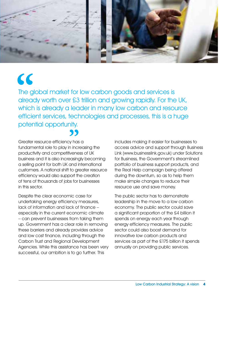

## **"**

The global market for low carbon goods and services is already worth over £3 trillion and growing rapidly. For the UK, which is already a leader in many low carbon and resource efficient services, technologies and processes, this is a huge potential opportunity. **"**

Greater resource efficiency has a fundamental role to play in increasing the productivity and competitiveness of UK business and it is also increasingly becoming a selling point for both UK and international customers. A national shift to greater resource efficiency would also support the creation of tens of thousands of jobs for businesses in this sector.

Despite the clear economic case for undertaking energy efficiency measures, lack of information and lack of finance – especially in the current economic climate – can prevent businesses from taking them up. Government has a clear role in removing these barriers and already provides advice and low cost finance, including through the Carbon Trust and Regional Development Agencies. While this assistance has been very successful, our ambition is to go further. This

includes making it easier for businesses to access advice and support through Business Link (www.businesslink.gov.uk) under Solutions for Business, the Government's streamlined portfolio of business support products, and the Real Help campaign being offered during the downturn, so as to help them make simple changes to reduce their resource use and save money.

The public sector has to demonstrate leadership in the move to a low carbon economy. The public sector could save a significant proportion of the £4 billion it spends on energy each year through energy efficiency measures. The public sector could also boost demand for innovative low carbon products and services as part of the £175 billion it spends annually on providing public services.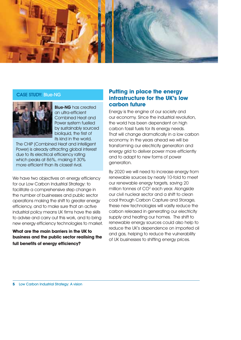

#### CASE STUDY: Blue-NG



**Blue-NG** has created an ultra-efficient Combined Heat and Power system fuelled by sustainably sourced bioliquid, the first of its kind in the world.

The CHiP (Combined Heat and intelligent Power) is already attracting global interest due to its electrical efficiency rating which peaks at 86%, making it 30% more efficient than its closest rival.

We have two objectives on energy efficiency for our Low Carbon Industrial Strategy: to facilitate a comprehensive step change in the number of businesses and public sector operations making the shift to greater energy efficiency, and to make sure that an active industrial policy means UK firms have the skills to advise and carry out this work, and to bring new energy efficiency technologies to market.

#### **What are the main barriers in the UK to business and the public sector realising the full benefits of energy efficiency?**

#### **Putting in place the energy infrastructure for the UK's low carbon future**

Energy is the engine of our society and our economy. Since the industrial revolution, the world has been dependent on high carbon fossil fuels for its energy needs. That will change dramatically in a low carbon economy. In the years ahead we will be transforming our electricity generation and energy grid to deliver power more efficiently and to adapt to new forms of power generation.

By 2020 we will need to increase energy from renewable sources by nearly 10-fold to meet our renewable energy targets, saving 20 million tonnes of CO<sup>2</sup> each year. Alongside our civil nuclear sector and a shift to clean coal through Carbon Capture and Storage, these new technologies will vastly reduce the carbon released in generating our electricity supply and heating our homes. The shift to renewable energy sources could also help to reduce the UK's dependence on imported oil and gas, helping to reduce the vulnerability of UK businesses to shifting energy prices.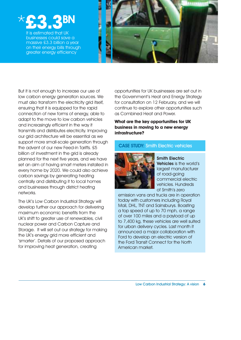

It is estimated that UK businesses could save a massive £3.3 billion a year on their energy bills through greater energy efficiency



But it is not enough to increase our use of low carbon energy generation sources. We must also transform the electricity grid itself, ensuring that it is equipped for the rapid connection of new forms of energy, able to adapt to the move to low carbon vehicles and increasingly efficient in the way it transmits and distributes electricity. Improving our grid architecture will be essential as we support more small-scale generation through the advent of our new Feed-in Tariffs. £5 billion of investment in the grid is already planned for the next five years, and we have set an aim of having smart meters installed in every home by 2020. We could also achieve carbon savings by generating heating centrally and distributing it to local homes and businesses through district heating networks.

The UK's Low Carbon Industrial Strategy will develop further our approach for delivering maximum economic benefits from the UK's shift to greater use of renewables, civil nuclear power and Carbon Capture and Storage. It will set out our strategy for making the UK's energy grid more efficient and 'smarter'. Details of our proposed approach for improving heat generation, creating

opportunities for UK businesses are set out in the Government's Heat and Energy Strategy for consultation on 12 February, and we will continue to explore other opportunities such as Combined Heat and Power.

**What are the key opportunities for UK business in moving to a new energy infrastructure?**

#### CASE STUDY: Smith Electric vehicles



Smith Electric Vehicles is the world's largest manufacturer of road-going commercial electric vehicles. Hundreds of Smith's zero

emission vans and trucks are in operation today with customers including Royal Mail, DHL, TNT and Sainsburys. Boasting a top speed of up to 70 mph, a range of over 100 miles and a payload of up to 7,400 kg, these vehicles are well suited for urban delivery cycles. Last month it announced a major collaboration with Ford to develop an electric version of the Ford Transit Connect for the North American market.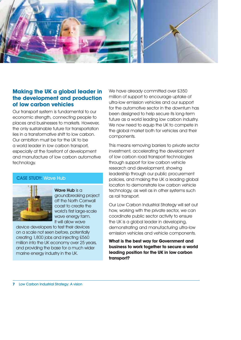

#### **Making the UK a global leader in the development and production of low carbon vehicles**

Our transport system is fundamental to our economic strength, connecting people to places and businesses to markets. However, the only sustainable future for transportation lies in a transformative shift to low carbon. Our ambition must be for the UK to be a world leader in low carbon transport, especially at the forefront of development and manufacture of low carbon automotive technology.

#### CASE STUDY: Wave Hub



Wave Hub is a groundbreaking project off the North Cornwall coast to create the world's first large-scale wave energy farm. It will allow wave

device developers to test their devices on a scale not seen before, potentially creating 1,800 jobs and injecting £560 million into the UK economy over 25 years, and providing the base for a much wider marine energy industry in the UK.

We have already committed over £350 million of support to encourage uptake of ultra-low emission vehicles and our support for the automotive sector in the downturn has been designed to help secure its long-term future as a world leading low carbon industry. We now need to equip the UK to compete in the global market both for vehicles and their components.

This means removing barriers to private sector investment, accelerating the development of low carbon road transport technologies through support for low carbon vehicle research and development, showing leadership through our public procurement policies, and making the UK a leading global location to demonstrate low carbon vehicle technology, as well as in other systems such as rail transport.

Our Low Carbon Industrial Strategy will set out how, working with the private sector, we can coordinate public sector activity to ensure the UK is a global leader in developing, demonstrating and manufacturing ultra-low emission vehicles and vehicle components.

**What is the best way for Government and business to work together to secure a world leading position for the UK in low carbon transport?**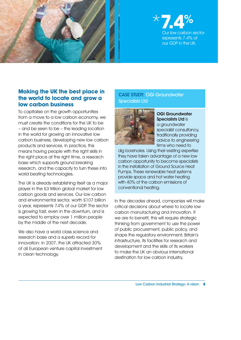

#### \***7.4**% low carbon sector represents 7.4% of our GDP in the UK.

#### **Making the UK the best place in the world to locate and grow a low carbon business**

To capitalise on the growth opportunities from a move to a low carbon economy, we must create the conditions for the UK to be – and be seen to be – the leading location in the world for growing an innovative low carbon business, developing new low carbon products and services. In practice, this means having people with the right skills in the right place at the right time, a research base which supports ground breaking research, and the capacity to turn these into world beating technologies.

The UK is already establishing itself as a major player in the £3 trillion global market for low carbon goods and services. Our low carbon and environmental sector, worth £107 billion a year, represents 7.4% of our GDP. The sector is growing fast, even in the downturn, and is expected to employ over 1 million people by the middle of the next decade.

We also have a world class science and research base and a superb record for innovation: in 2007, the UK attracted 30% of all European venture capital investment in clean technology.

#### CASE STUDY: OGI Groundwater Specialists Ltd



OGI Groundwater Specialists Ltd is a groundwater specialist consultancy, traditionally providing advice to engineering firms who need to

dig boreholes. Using their existing expertise they have taken advantage of a new low carbon opportunity to become specialists in the installation of Ground Source Heat Pumps. These renewable heat systems provide space and hot water heating with 40% of the carbon emissions of conventional heating.

In the decades ahead, companies will make critical decisions about where to locate low carbon manufacturing and innovation. If we are to benefit, this will require strategic thinking from government to use the power of public procurement, public policy, and shape the regulatory environment, Britain's infrastructure, its facilities for research and development and the skills of its workers to make the UK an obvious international destination for low carbon industry,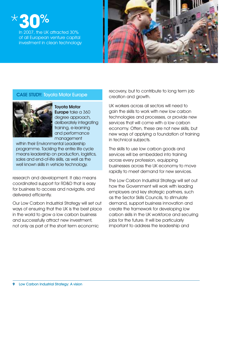# \***30**%

In 2007, the UK attracted 30% of all European venture capital investment in clean technology



#### CASE STUDY: Toyota Motor Europe



Toyota Motor Europe take a 360 degree approach, deliberately integrating training, e-learning and performance management

within their Environmental Leadership programme. Tackling the entire life cycle means leadership on production, logistics, sales and end-of-life skills, as well as the well known skills in vehicle technology.

research and development. It also means coordinated support for RD&D that is easy for business to access and navigate, and delivered efficiently.

Our Low Carbon Industrial Strategy will set out ways of ensuring that the UK is the best place in the world to grow a low carbon business and successfully attract new investment, not only as part of the short term economic

recovery, but to contribute to long term job creation and growth.

UK workers across all sectors will need to gain the skills to work with new low carbon technologies and processes, or provide new services that will come with a low carbon economy. Often, these are not new skills, but new ways of applying a foundation of training in technical subjects.

The skills to use low carbon goods and services will be embedded into training across every profession, equipping businesses across the UK economy to move rapidly to meet demand for new services.

The Low Carbon Industrial Strategy will set out how the Government will work with leading employers and key strategic partners, such as the Sector Skills Councils, to stimulate demand, support business innovation and create the framework for developing low carbon skills in the UK workforce and securing jobs for the future. It will be particularly important to address the leadership and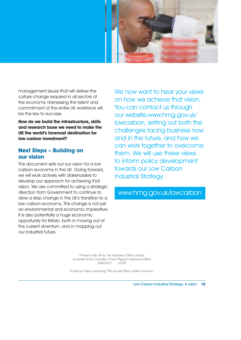

management issues that will deliver the culture change required in all sectors of the economy. Harnessing the talent and commitment of the entire UK workforce will be the key to success.

**How do we build the infrastructure, skills and research base we need to make the UK the world's foremost destination for low carbon investment?**

#### **Next Steps – Building on our vision**

This document sets out our vision for a low carbon economy in the UK. Going forward, we will work actively with stakeholders to develop our approach for achieving that vision. We are committed to using a strategic direction from Government to continue to drive a step change in the UK's transition to a low carbon economy. This change is not just an environmental and economic imperative; it is also potentially a huge economic opportunity for Britain, both in moving out of the current downturn, and in mapping out our industrial future.

We now want to hear your views on how we achieve that vision. You can contact us through our website,www.hmg.gov.uk/ lowcarbon, setting out both the challenges facing business now and in the future, and how we can work together to overcome them. We will use these views to inform policy development towards our Low Carbon Industrial Strategy.

#### www.hmg.gov.uk/lowcarbon

Printed in the UK by The Stationery Office Limited on behalf of the Controller of Her Majesty's Stationery Office ID6032917 03/09

Printed on Paper containing 75% recycled fibre content minimum.